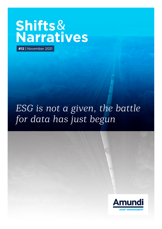# **Shifts**& **Narratives**

**#12** | November 2021

## *ESG is not a given, the battle for data has just begun*

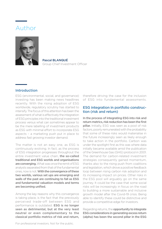### Author



Pascal BLANQUÉ Group Chief Investment Officer

#### Introduction

ESG (environmental, social, and governance) investing has been making news headlines recently. With the rising adoption of ESG worldwide, regulatory scrutiny has started to intensify. The focus of this attention has been the assessment of what is effectively the integration of ESG principles into the traditional investment process versus what can sometimes appear to be the mere labelling of investment products as ESG with minimal effort to incorporate ESG aspects – a marketing push put in place to address fast growing investor demand.

The matter is not an easy one, as ESG is continuously evolving. In fact, as the process of ESG integration progresses throughout the entire investment value chain, the so-called traditional and ESG worlds and organisations are converging. What was once the remit of ESG analysts separated from that of the fundamental ones, now is not. With the convergence of these two worlds, various set ups are emerging and walls of the past are continuing to fall as ESG and fundamental valuation models and terms are becoming unified.

Among the key reasons why this convergence is taking place, is the fact that the previously perceived trade-off between ESG and performance is outdated. ESG is no longer seen as detrimental, but at the very least neutral or even complementary to the classical portfolio metrics of risk and return,

therefore driving the case for the inclusion of ESG into fundamental assessments.

#### ESG integration in portfolio construction (risk and return)

In the process of integrating ESG into risk and return metrics, risk reduction has been the first **pillar.** Initially, ESG was seen as a pool of risk factors, poorly remunerated with the probability that some of these risks would materialise in the future increasingly seen as likely enough to take action in the portfolio. Carbon was under the spotlight first as this was where data initially became available amid the publication of the Greenhouse Gas (GHG) protocol in 2001. The demand for carbon-related investment strategies consequently gained momentum, thanks also to the rising push from coalitions and legislation, which drove a positive feedback loop between rising carbon risk adoption and its increasing impact on prices. Other risks in the ESG pool will arguably go on the same journey. It could be the case that some social risks will be increasingly in focus on the road to building a more sustainable and inclusive growth model after the Covid-19 crisis. Being able to identify these could be distinctive and provide a competitive edge for investors.

Regarding returns, the **opportunity to integrate** ESG considerations in generating excess return (alpha) has been the second pillar in the ESG

For professional investors. Not for the public.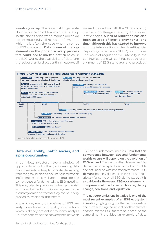investor journey. The potential to generate alpha lies in the possible areas of inefficiency. Inefficiencies arise when market prices do not integrate fully all relevant information, which it is often the case when it comes to ESG dynamics. Data is one of the key elements in the price discovery process that could lead to market inefficiencies. In the ESG world, the availability of data and the lack of standard accounting measures (if we exclude carbon with the GHG protocol) are two challenges leading to market inefficiencies. A lack of regulation has also been an area of inefficiency for a long time, although this has started to improve with the introduction of the Non-Financial Reporting Directive (NFDR) in Europe. The wave of regulation will intensify in the coming years and will continue to push for an alignment of ESG standards and practices.



#### Data availability, inefficiencies, and alpha opportunities

In our view, investors have a window of opportunity in front of them, as increasing data disclosures will create alpha opportunities arising from the gradual closing of existing information inefficiencies. This will arise alongside the convergence of fundamental and ESG investing. This may also help uncover whether the risk factors embedded in ESG investing are unique and idiosyncratic or whether they can be readily proxied by traditional risk factors.

In particular, many dimensions of ESG are likely to evolve around quality as a factor – which is already present in traditional analysis – further confirming the convergence between

**ESG and fundamental metrics. How fast this** convergence between ESG and fundamental worlds occurs will depend on the evolution of **ESG demand.** The function that determines ESG demand is not easy to forecast as it is unstable and not linear, as with investor preferences. **ESG** demand not only depends on investor appetite (flows) for some or all ESG elements, **but it is** also driven by the overall ESG ecosystem which comprises multiple forces such as regulatory change, coalitions, and legislation.

The net-zero emissions initiative is one of the most recent examples of an ESG ecosystem in motion, highlighting the theme for investors and further raising the impact of other climatechange-related ESG factors on prices. At the same time, it provides an example of data

For professional investors. Not for the public.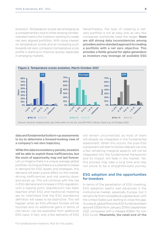evolution. Temperature scores are emerging as a complementary tool to other existing climateoriented metrics for investors wanting to create net-zero aligned portfolios. With rising interest on temperature scores and an increasing push towards net zero, company's temperature score profile is starting to improve quickly, especially in emerging markets.

Nevertheless, the task of creating a netzero portfolio is not an easy one, as very few companies worldwide meet the target, there are still strong data inconsistencies among providers and no standard approach to creating a portfolio with a net zero objective. This provides a fertile ground for alpha generation as investors may leverage all available ESG



data and fundamental bottom-up assessments to try to determine a forward-looking view of a company's net-zero trajectory.

While this data inconsistency persists, investors will be able to exploit these inefficiencies, but the room of opportunity may not last forever. Let us imagine there is a unique average global portfolio. As long as there is a sustained increase in demand for ESG assets and strategies, this demand will exert a price effect on the market, driving inefficiencies and risk premia down and prices up. This will continue with the rise in ESG demand and increase in ESG regulation, until a tipping point (equilibrium) has been reached when ESG and traditional investing are so interlinked that the ESG standalone definition will cease to be distinctive. This will happen when an ESG efficient frontier will be touched and no additional gains in terms of risk-return can be exploited from additional ESG input. In fact, only a few elements of ESG

will remain unconnected, as most of them will already be integrated in the fundamental assessment. When this occurs, the pure ESG component will start to be less relevant (as only a few remaining marginal aspects will not be integrated into the fundamental framework) and its impact will fade in the market. Yet, this process may take a long time and may not prove to be a straightforward journey.

#### ESG adoption and the opportunities for investors

In terms of the penetration of ESG investing, ESG adoption seems well advanced in the institutional market, especially Europe, but it remains far from complete at a global level, with the United States just starting to close the gap. As a result, global flows into ESG funds have been above € 530bn from January 2019 to September 2021, compared with a meagre €56bn for non ESG funds. Meanwhile, the retail end of the

For professional investors. Not for the public.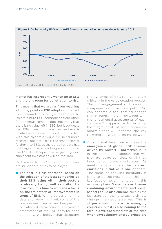

#### Figure 3. Global equity ESG vs. non-ESG funds, cumulative net sales since January 2019

market has just recently woken up to ESG and there is room for penetration to rise.

This means that we are far from reaching a tipping point on ESG adoption. The fact that research has not yet been able to isolate a pure ESG component from other fundamental elements does not imply that there is no value left in ESG, but it suggests that ESG investing is nuanced and multifaceted and in constant evolution. To deal with this dynamic world, we need more research, not less. This is the time to invest further into ESG, as the battle for data has just begun. There is a long way to go for the ESG landscape to emerge fully and significant investment will be required.

On the road to 100% ESG adoption, there are still opportunities to be played:

■ The best-in-class approach (based on the selection of the best companies by their ESG rating within their sector) is already being well exploited by investors. It is time to embrace a focus on the trajectory of improvements in terms of ESG. With progression on the data and reporting front, some of the previous inefficiencies are disappearing, but what will remain crucial is a dynamic assessment of the ESG path for each company. We believe that detecting

the dynamics of ESG ratings matters critically in the value creation process. Through engagement and favouring companies on a virtuous path, ESG can become a tool forcing change that is increasingly intertwined with the fundamental assessments of each company. This approach will drive further the integration of ESG and fundamental analysis that will become the key to generating alpha going forward.

At a global level, we will see the emergence of global ESG themes driven by powerful narratives built in the market and society that will provide opportunities, until they become completely saturated. As mentioned previously, the net-zero emissions initiative is one of them. The focus on tackling inequality is likely to be the next one as this is a key focus of governments during this recovery phase. Some blended themes combining environmental and social aspects could also emerge, such as the just transition theme to tackle climate change in an equitable way. This is of particular concern for emerging countries, but it is also coming to the fore in developed markets at the time when skyrocketing energy prices are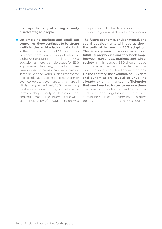disproportionally affecting already disadvantaged people.

On emerging markets and small cap companies, there continues to be strong inefficiencies amid a lack of data, both in the traditional and the ESG world. This is where there is a strong potential for alpha generation from additional ESG adoption as there is ample space for ESG improvement. In emerging markets, there are also specific themes that are not present in the developed world, such as the theme of base education, access to clean water, or even corporate governance, which are all still lagging behind. Yet, ESG in emerging markets comes with a significant cost in terms of deeper analysis, data collection, and engagement. The universe is also wide, as the possibility of engagement on ESG

topics is not limited to corporations, but also with governments and supranationals.

The future economic, environmental, and social developments will lead us down the path of increasing ESG adoption. This is a dynamic process made up of fulfilling prophecies and feedback loops between narratives, markets and wider society. In this respect, ESG should not be considered a top-down force that fuels the misallocation of capital and price distortions. On the contrary, the evolution of ESG data and dynamics are crucial to unveiling already existing market inefficiencies that need market forces to reduce them. The time to push further on ESG is now, and additional regulation on this front should be seen as a further lever to drive positive momentum in the ESG journey.